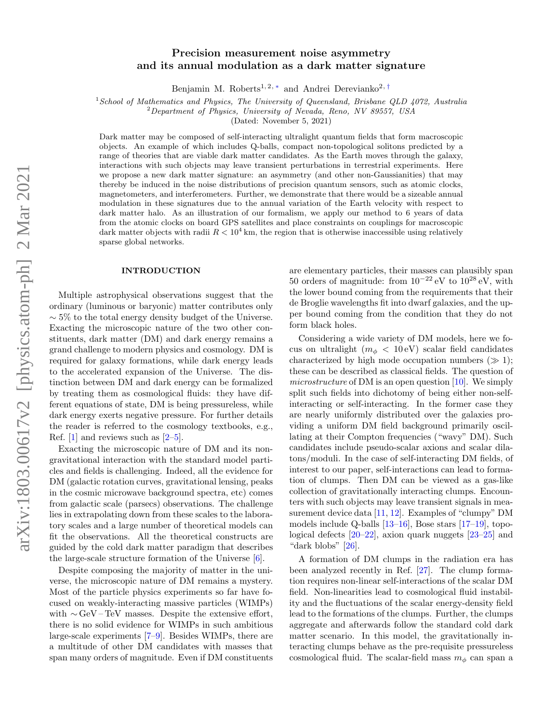# Precision measurement noise asymmetry and its annual modulation as a dark matter signature

Benjamin M. Roberts<sup>1, 2, \*</sup> and Andrei Derevianko<sup>2, [†](#page-5-1)</sup>

 $1$ School of Mathematics and Physics, The University of Queensland, Brisbane QLD 4072, Australia

 ${}^{2}$ Department of Physics, University of Nevada, Reno, NV 89557, USA

(Dated: November 5, 2021)

Dark matter may be composed of self-interacting ultralight quantum fields that form macroscopic objects. An example of which includes Q-balls, compact non-topological solitons predicted by a range of theories that are viable dark matter candidates. As the Earth moves through the galaxy, interactions with such objects may leave transient perturbations in terrestrial experiments. Here we propose a new dark matter signature: an asymmetry (and other non-Gaussianities) that may thereby be induced in the noise distributions of precision quantum sensors, such as atomic clocks, magnetometers, and interferometers. Further, we demonstrate that there would be a sizeable annual modulation in these signatures due to the annual variation of the Earth velocity with respect to dark matter halo. As an illustration of our formalism, we apply our method to 6 years of data from the atomic clocks on board GPS satellites and place constraints on couplings for macroscopic dark matter objects with radii  $R < 10^4$  km, the region that is otherwise inaccessible using relatively sparse global networks.

## INTRODUCTION

Multiple astrophysical observations suggest that the ordinary (luminous or baryonic) matter contributes only  $\sim$  5% to the total energy density budget of the Universe. Exacting the microscopic nature of the two other constituents, dark matter (DM) and dark energy remains a grand challenge to modern physics and cosmology. DM is required for galaxy formations, while dark energy leads to the accelerated expansion of the Universe. The distinction between DM and dark energy can be formalized by treating them as cosmological fluids: they have different equations of state, DM is being pressureless, while dark energy exerts negative pressure. For further details the reader is referred to the cosmology textbooks, e.g., Ref.  $[1]$  and reviews such as  $[2-5]$  $[2-5]$ .

Exacting the microscopic nature of DM and its nongravitational interaction with the standard model particles and fields is challenging. Indeed, all the evidence for DM (galactic rotation curves, gravitational lensing, peaks in the cosmic microwave background spectra, etc) comes from galactic scale (parsecs) observations. The challenge lies in extrapolating down from these scales to the laboratory scales and a large number of theoretical models can fit the observations. All the theoretical constructs are guided by the cold dark matter paradigm that describes the large-scale structure formation of the Universe [\[6\]](#page-5-5).

Despite composing the majority of matter in the universe, the microscopic nature of DM remains a mystery. Most of the particle physics experiments so far have focused on weakly-interacting massive particles (WIMPs) with  $\sim$  GeV – TeV masses. Despite the extensive effort, there is no solid evidence for WIMPs in such ambitious large-scale experiments [\[7](#page-5-6)[–9\]](#page-5-7). Besides WIMPs, there are a multitude of other DM candidates with masses that span many orders of magnitude. Even if DM constituents

are elementary particles, their masses can plausibly span 50 orders of magnitude: from  $10^{-22}$  eV to  $10^{28}$  eV, with the lower bound coming from the requirements that their de Broglie wavelengths fit into dwarf galaxies, and the upper bound coming from the condition that they do not form black holes.

Considering a wide variety of DM models, here we focus on ultralight  $(m_{\phi} < 10 \text{ eV})$  scalar field candidates characterized by high mode occupation numbers  $(\gg 1);$ these can be described as classical fields. The question of microstructure of DM is an open question [\[10\]](#page-5-8). We simply split such fields into dichotomy of being either non-selfinteracting or self-interacting. In the former case they are nearly uniformly distributed over the galaxies providing a uniform DM field background primarily oscillating at their Compton frequencies ("wavy" DM). Such candidates include pseudo-scalar axions and scalar dilatons/moduli. In the case of self-interacting DM fields, of interest to our paper, self-interactions can lead to formation of clumps. Then DM can be viewed as a gas-like collection of gravitationally interacting clumps. Encounters with such objects may leave transient signals in measurement device data [\[11,](#page-5-9) [12\]](#page-5-10). Examples of "clumpy" DM models include Q-balls [\[13–](#page-5-11)[16\]](#page-5-12), Bose stars [\[17](#page-5-13)[–19\]](#page-6-0), topological defects [\[20–](#page-6-1)[22\]](#page-6-2), axion quark nuggets [\[23–](#page-6-3)[25\]](#page-6-4) and "dark blobs" [\[26\]](#page-6-5).

A formation of DM clumps in the radiation era has been analyzed recently in Ref. [\[27\]](#page-6-6). The clump formation requires non-linear self-interactions of the scalar DM field. Non-linearities lead to cosmological fluid instability and the fluctuations of the scalar energy-density field lead to the formations of the clumps. Further, the clumps aggregate and afterwards follow the standard cold dark matter scenario. In this model, the gravitationally interacting clumps behave as the pre-requisite pressureless cosmological fluid. The scalar-field mass  $m_{\phi}$  can span a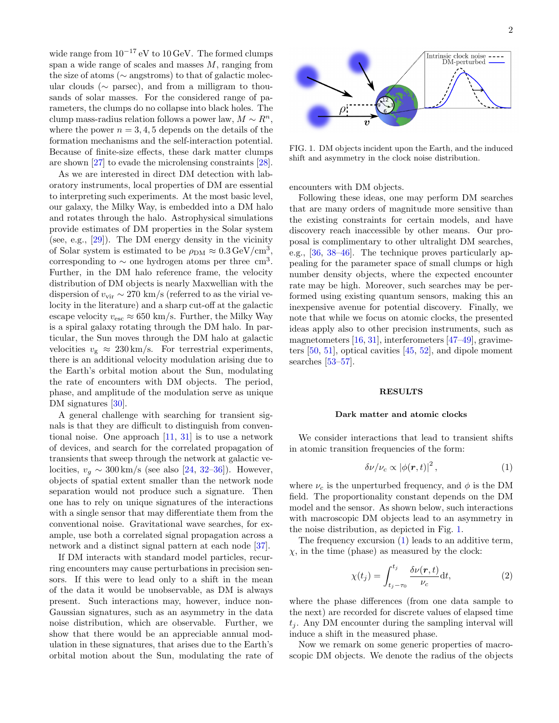wide range from  $10^{-17}$  eV to  $10 \text{ GeV}$ . The formed clumps span a wide range of scales and masses  $M$ , ranging from the size of atoms (∼ angstroms) to that of galactic molecular clouds ( $\sim$  parsec), and from a milligram to thousands of solar masses. For the considered range of parameters, the clumps do no collapse into black holes. The clump mass-radius relation follows a power law,  $M \sim R^n$ , where the power  $n = 3, 4, 5$  depends on the details of the formation mechanisms and the self-interaction potential. Because of finite-size effects, these dark matter clumps are shown [\[27\]](#page-6-6) to evade the microlensing constraints [\[28\]](#page-6-7).

As we are interested in direct DM detection with laboratory instruments, local properties of DM are essential to interpreting such experiments. At the most basic level, our galaxy, the Milky Way, is embedded into a DM halo and rotates through the halo. Astrophysical simulations provide estimates of DM properties in the Solar system (see, e.g., [\[29\]](#page-6-8)). The DM energy density in the vicinity of Solar system is estimated to be  $\rho_{\rm DM} \approx 0.3 \,\text{GeV}/\text{cm}^3$ , corresponding to  $\sim$  one hydrogen atoms per three cm<sup>3</sup>. Further, in the DM halo reference frame, the velocity distribution of DM objects is nearly Maxwellian with the dispersion of  $v_{\rm vir} \sim 270 \text{ km/s}$  (referred to as the virial velocity in the literature) and a sharp cut-off at the galactic escape velocity  $v_{\text{esc}} \approx 650 \text{ km/s}$ . Further, the Milky Way is a spiral galaxy rotating through the DM halo. In particular, the Sun moves through the DM halo at galactic velocities  $v_{\rm g} \approx 230 \,\rm km/s$ . For terrestrial experiments, there is an additional velocity modulation arising due to the Earth's orbital motion about the Sun, modulating the rate of encounters with DM objects. The period, phase, and amplitude of the modulation serve as unique DM signatures [\[30\]](#page-6-9).

A general challenge with searching for transient signals is that they are difficult to distinguish from conventional noise. One approach [\[11,](#page-5-9) [31\]](#page-6-10) is to use a network of devices, and search for the correlated propagation of transients that sweep through the network at galactic velocities,  $v_q \sim 300 \,\mathrm{km/s}$  (see also [\[24,](#page-6-11) [32–](#page-6-12)[36\]](#page-6-13)). However, objects of spatial extent smaller than the network node separation would not produce such a signature. Then one has to rely on unique signatures of the interactions with a single sensor that may differentiate them from the conventional noise. Gravitational wave searches, for example, use both a correlated signal propagation across a network and a distinct signal pattern at each node [\[37\]](#page-6-14).

If DM interacts with standard model particles, recurring encounters may cause perturbations in precision sensors. If this were to lead only to a shift in the mean of the data it would be unobservable, as DM is always present. Such interactions may, however, induce non-Gaussian signatures, such as an asymmetry in the data noise distribution, which are observable. Further, we show that there would be an appreciable annual modulation in these signatures, that arises due to the Earth's orbital motion about the Sun, modulating the rate of



<span id="page-1-0"></span>FIG. 1. DM objects incident upon the Earth, and the induced shift and asymmetry in the clock noise distribution.

encounters with DM objects.

Following these ideas, one may perform DM searches that are many orders of magnitude more sensitive than the existing constraints for certain models, and have discovery reach inaccessible by other means. Our proposal is complimentary to other ultralight DM searches, e.g., [\[36,](#page-6-13) [38](#page-6-15)[–46\]](#page-6-16). The technique proves particularly appealing for the parameter space of small clumps or high number density objects, where the expected encounter rate may be high. Moreover, such searches may be performed using existing quantum sensors, making this an inexpensive avenue for potential discovery. Finally, we note that while we focus on atomic clocks, the presented ideas apply also to other precision instruments, such as magnetometers [\[16,](#page-5-12) [31\]](#page-6-10), interferometers [\[47](#page-6-17)[–49\]](#page-6-18), gravimeters [\[50,](#page-6-19) [51\]](#page-6-20), optical cavities [\[45,](#page-6-21) [52\]](#page-6-22), and dipole moment searches [\[53](#page-6-23)[–57\]](#page-6-24).

#### RESULTS

#### Dark matter and atomic clocks

We consider interactions that lead to transient shifts in atomic transition frequencies of the form:

<span id="page-1-1"></span>
$$
\delta\nu/\nu_c \propto |\phi(\mathbf{r},t)|^2 , \qquad (1)
$$

where  $\nu_c$  is the unperturbed frequency, and  $\phi$  is the DM field. The proportionality constant depends on the DM model and the sensor. As shown below, such interactions with macroscopic DM objects lead to an asymmetry in the noise distribution, as depicted in Fig. [1.](#page-1-0)

The frequency excursion [\(1\)](#page-1-1) leads to an additive term,  $\chi$ , in the time (phase) as measured by the clock:

<span id="page-1-2"></span>
$$
\chi(t_j) = \int_{t_j - \tau_0}^{t_j} \frac{\delta \nu(\mathbf{r}, t)}{\nu_c} dt,\tag{2}
$$

where the phase differences (from one data sample to the next) are recorded for discrete values of elapsed time  $t_i$ . Any DM encounter during the sampling interval will induce a shift in the measured phase.

Now we remark on some generic properties of macroscopic DM objects. We denote the radius of the objects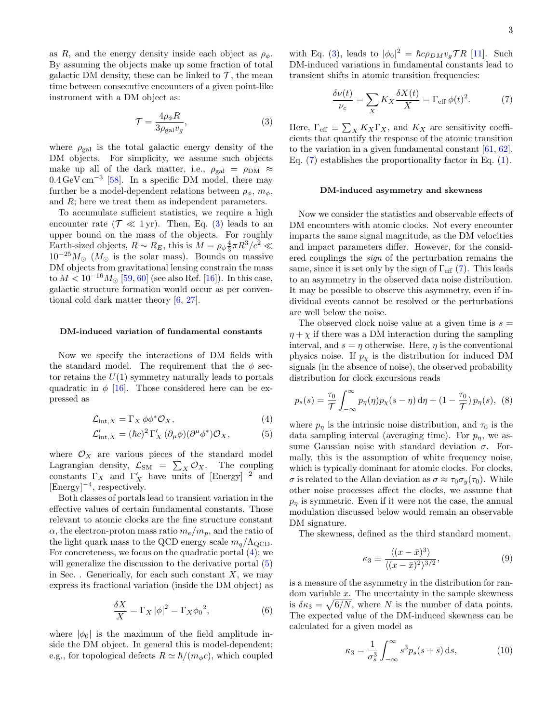as R, and the energy density inside each object as  $\rho_{\phi}$ . By assuming the objects make up some fraction of total galactic DM density, these can be linked to  $\mathcal{T}$ , the mean time between consecutive encounters of a given point-like instrument with a DM object as:

<span id="page-2-0"></span>
$$
\mathcal{T} = \frac{4\rho_{\phi}R}{3\rho_{\text{gal}}v_g},\tag{3}
$$

where  $\rho_{gal}$  is the total galactic energy density of the DM objects. For simplicity, we assume such objects make up all of the dark matter, i.e.,  $\rho_{gal} = \rho_{DM} \approx$ 0.4 GeV cm−<sup>3</sup> [\[58\]](#page-7-0). In a specific DM model, there may further be a model-dependent relations between  $\rho_{\phi}, m_{\phi}$ , and R; here we treat them as independent parameters.

To accumulate sufficient statistics, we require a high encounter rate  $(\mathcal{T} \ll 1 \,\text{yr})$ . Then, Eq. [\(3\)](#page-2-0) leads to an upper bound on the mass of the objects. For roughly Earth-sized objects,  $R \sim R_E$ , this is  $M = \rho_{\phi} \frac{4}{3} \pi R^3 / c^2 \ll$  $10^{-25} M_{\odot}$  ( $M_{\odot}$  is the solar mass). Bounds on massive DM objects from gravitational lensing constrain the mass to  $M < 10^{-16} M_{\odot}$  [\[59,](#page-7-1) [60\]](#page-7-2) (see also Ref. [\[16\]](#page-5-12)). In this case, galactic structure formation would occur as per conventional cold dark matter theory [\[6,](#page-5-5) [27\]](#page-6-6).

#### DM-induced variation of fundamental constants

Now we specify the interactions of DM fields with the standard model. The requirement that the  $\phi$  sector retains the  $U(1)$  symmetry naturally leads to portals quadratic in  $\phi$  [\[16\]](#page-5-12). Those considered here can be expressed as

$$
\mathcal{L}_{\text{int},X} = \Gamma_X \, \phi \phi^* \mathcal{O}_X,\tag{4}
$$

$$
\mathcal{L}'_{\text{int},X} = (\hbar c)^2 \Gamma'_X (\partial_\mu \phi)(\partial^\mu \phi^*) \mathcal{O}_X, \tag{5}
$$

where  $\mathcal{O}_X$  are various pieces of the standard model Lagrangian density,  $\mathcal{L}_{SM} = \sum_{X} \mathcal{O}_X$ . The coupling constants  $\Gamma_X$  and  $\Gamma'_X$  have units of [Energy]<sup>-2</sup> and [Energy]<sup>−</sup><sup>4</sup> , respectively.

Both classes of portals lead to transient variation in the effective values of certain fundamental constants. Those relevant to atomic clocks are the fine structure constant  $\alpha$ , the electron-proton mass ratio  $m_e/m_p$ , and the ratio of the light quark mass to the QCD energy scale  $m_q/\Lambda_{\rm QCD}$ . For concreteness, we focus on the quadratic portal [\(4\)](#page-2-1); we will generalize the discussion to the derivative portal  $(5)$ in Sec. . Generically, for each such constant  $X$ , we may express its fractional variation (inside the DM object) as

$$
\frac{\delta X}{X} = \Gamma_X |\phi|^2 = \Gamma_X {\phi_0}^2,\tag{6}
$$

where  $|\phi_0|$  is the maximum of the field amplitude inside the DM object. In general this is model-dependent; e.g., for topological defects  $R \simeq \hbar/(m_{\phi}c)$ , which coupled

with Eq. [\(3\)](#page-2-0), leads to  $|\phi_0|^2 = \hbar c \rho_{DM} v_g \mathcal{T} R$  [\[11\]](#page-5-9). Such DM-induced variations in fundamental constants lead to transient shifts in atomic transition frequencies:

<span id="page-2-3"></span>
$$
\frac{\delta \nu(t)}{\nu_c} = \sum_X K_X \frac{\delta X(t)}{X} = \Gamma_{\text{eff}} \phi(t)^2. \tag{7}
$$

Here,  $\Gamma_{\text{eff}} \equiv \sum_{X} K_{X} \Gamma_{X}$ , and  $K_{X}$  are sensitivity coefficients that quantify the response of the atomic transition to the variation in a given fundamental constant [\[61,](#page-7-3) [62\]](#page-7-4). Eq. [\(7\)](#page-2-3) establishes the proportionality factor in Eq. [\(1\)](#page-1-1).

### DM-induced asymmetry and skewness

Now we consider the statistics and observable effects of DM encounters with atomic clocks. Not every encounter imparts the same signal magnitude, as the DM velocities and impact parameters differ. However, for the considered couplings the sign of the perturbation remains the same, since it is set only by the sign of  $\Gamma_{\text{eff}}$  [\(7\)](#page-2-3). This leads to an asymmetry in the observed data noise distribution. It may be possible to observe this asymmetry, even if individual events cannot be resolved or the perturbations are well below the noise.

The observed clock noise value at a given time is  $s =$  $\eta + \chi$  if there was a DM interaction during the sampling interval, and  $s = \eta$  otherwise. Here,  $\eta$  is the conventional physics noise. If  $p<sub>x</sub>$  is the distribution for induced DM signals (in the absence of noise), the observed probability distribution for clock excursions reads

<span id="page-2-4"></span>
$$
p_s(s) = \frac{\tau_0}{\mathcal{T}} \int_{-\infty}^{\infty} p_{\eta}(\eta) p_{\chi}(s-\eta) d\eta + (1-\frac{\tau_0}{\mathcal{T}}) p_{\eta}(s), \tag{8}
$$

<span id="page-2-2"></span><span id="page-2-1"></span>where  $p_{\eta}$  is the intrinsic noise distribution, and  $\tau_0$  is the data sampling interval (averaging time). For  $p_{\eta}$ , we assume Gaussian noise with standard deviation  $\sigma$ . Formally, this is the assumption of white frequency noise, which is typically dominant for atomic clocks. For clocks,  $\sigma$  is related to the Allan deviation as  $\sigma \approx \tau_0 \sigma_u(\tau_0)$ . While other noise processes affect the clocks, we assume that  $p<sub>\eta</sub>$  is symmetric. Even if it were not the case, the annual modulation discussed below would remain an observable DM signature.

The skewness, defined as the third standard moment,

$$
\kappa_3 \equiv \frac{\langle (x - \bar{x})^3 \rangle}{\langle (x - \bar{x})^2 \rangle^{3/2}},\tag{9}
$$

is a measure of the asymmetry in the distribution for random variable  $x$ . The uncertainty in the sample skewness is  $\delta \kappa_3 = \sqrt{6/N}$ , where N is the number of data points. The expected value of the DM-induced skewness can be calculated for a given model as

$$
\kappa_3 = \frac{1}{\sigma_s^3} \int_{-\infty}^{\infty} s^3 p_s(s+\bar{s}) \, \mathrm{d}s,\tag{10}
$$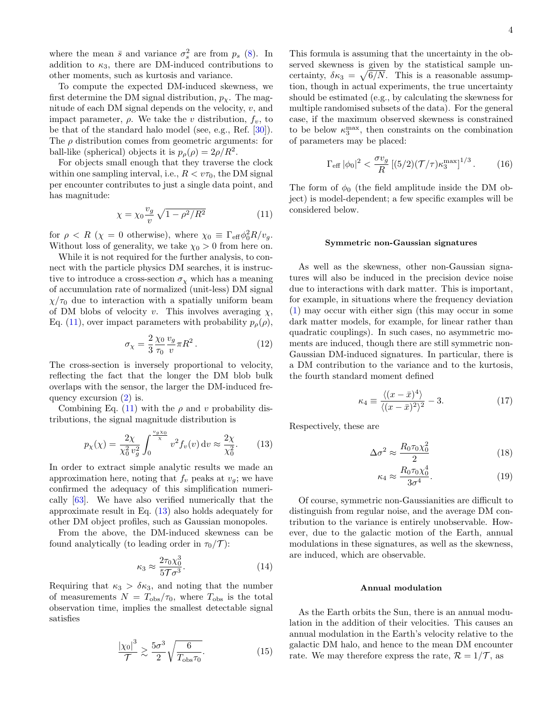where the mean  $\bar{s}$  and variance  $\sigma_s^2$  are from  $p_s$  [\(8\)](#page-2-4). In addition to  $\kappa_3$ , there are DM-induced contributions to other moments, such as kurtosis and variance.

To compute the expected DM-induced skewness, we first determine the DM signal distribution,  $p_{\chi}$ . The magnitude of each DM signal depends on the velocity,  $v$ , and impact parameter,  $\rho$ . We take the v distribution,  $f_v$ , to be that of the standard halo model (see, e.g., Ref. [\[30\]](#page-6-9)). The  $\rho$  distribution comes from geometric arguments: for ball-like (spherical) objects it is  $p_{\rho}(\rho) = 2\rho/R^2$ .

For objects small enough that they traverse the clock within one sampling interval, i.e.,  $R < v\tau_0$ , the DM signal per encounter contributes to just a single data point, and has magnitude:

<span id="page-3-0"></span>
$$
\chi = \chi_0 \frac{v_g}{v} \sqrt{1 - \rho^2 / R^2}
$$
 (11)

for  $\rho \langle R \rangle$  ( $\chi = 0$  otherwise), where  $\chi_0 \equiv \Gamma_{\text{eff}} \phi_0^2 R/v_g$ . Without loss of generality, we take  $\chi_0 > 0$  from here on.

While it is not required for the further analysis, to connect with the particle physics DM searches, it is instructive to introduce a cross-section  $\sigma_{\chi}$  which has a meaning of accumulation rate of normalized (unit-less) DM signal  $\chi/\tau_0$  due to interaction with a spatially uniform beam of DM blobs of velocity v. This involves averaging  $\chi$ , Eq. [\(11\)](#page-3-0), over impact parameters with probability  $p_{\rho}(\rho)$ ,

$$
\sigma_{\chi} = \frac{2}{3} \frac{\chi_0}{\tau_0} \frac{v_g}{v} \pi R^2. \tag{12}
$$

The cross-section is inversely proportional to velocity, reflecting the fact that the longer the DM blob bulk overlaps with the sensor, the larger the DM-induced frequency excursion  $(2)$  is.

Combining Eq. [\(11\)](#page-3-0) with the  $\rho$  and v probability distributions, the signal magnitude distribution is

<span id="page-3-1"></span>
$$
p_{\chi}(\chi) = \frac{2\chi}{\chi_0^2 v_g^2} \int_0^{\frac{v_g \chi_0}{\chi}} v^2 f_v(v) \, dv \approx \frac{2\chi}{\chi_0^2}.
$$
 (13)

In order to extract simple analytic results we made an approximation here, noting that  $f_v$  peaks at  $v_q$ ; we have confirmed the adequacy of this simplification numerically [\[63\]](#page-7-5). We have also verified numerically that the approximate result in Eq. [\(13\)](#page-3-1) also holds adequately for other DM object profiles, such as Gaussian monopoles.

From the above, the DM-induced skewness can be found analytically (to leading order in  $\tau_0/\mathcal{T}$ ):

<span id="page-3-2"></span>
$$
\kappa_3 \approx \frac{2\tau_0 \chi_0^3}{5\mathcal{T}\sigma^3}.\tag{14}
$$

Requiring that  $\kappa_3 > \delta \kappa_3$ , and noting that the number of measurements  $N = T_{\text{obs}}/\tau_0$ , where  $T_{\text{obs}}$  is the total observation time, implies the smallest detectable signal satisfies

<span id="page-3-3"></span>
$$
\frac{|\chi_0|^3}{\mathcal{T}} \gtrsim \frac{5\sigma^3}{2} \sqrt{\frac{6}{T_{\text{obs}}\tau_0}}.\tag{15}
$$

This formula is assuming that the uncertainty in the observed skewness is given by the statistical sample uncertainty,  $\delta \kappa_3 = \sqrt{6/N}$ . This is a reasonable assumption, though in actual experiments, the true uncertainty should be estimated (e.g., by calculating the skewness for multiple randomised subsets of the data). For the general case, if the maximum observed skewness is constrained to be below  $\kappa_3^{\max}$ , then constraints on the combination of parameters may be placed:

<span id="page-3-4"></span>
$$
\Gamma_{\text{eff}} |\phi_0|^2 < \frac{\sigma v_g}{R} [(5/2)(\mathcal{T}/\tau)\kappa_3^{\text{max}}]^{1/3}.
$$
 (16)

The form of  $\phi_0$  (the field amplitude inside the DM object) is model-dependent; a few specific examples will be considered below.

#### Symmetric non-Gaussian signatures

As well as the skewness, other non-Gaussian signatures will also be induced in the precision device noise due to interactions with dark matter. This is important, for example, in situations where the frequency deviation [\(1\)](#page-1-1) may occur with either sign (this may occur in some dark matter models, for example, for linear rather than quadratic couplings). In such cases, no asymmetric moments are induced, though there are still symmetric non-Gaussian DM-induced signatures. In particular, there is a DM contribution to the variance and to the kurtosis, the fourth standard moment defined

$$
\kappa_4 \equiv \frac{\langle (x-\bar{x})^4 \rangle}{\langle (x-\bar{x})^2 \rangle^2} - 3. \tag{17}
$$

Respectively, these are

$$
\Delta \sigma^2 \approx \frac{R_0 \tau_0 \chi_0^2}{2} \tag{18}
$$

$$
\kappa_4 \approx \frac{R_0 \tau_0 \chi_0^4}{3\sigma^4}.\tag{19}
$$

Of course, symmetric non-Gaussianities are difficult to distinguish from regular noise, and the average DM contribution to the variance is entirely unobservable. However, due to the galactic motion of the Earth, annual modulations in these signatures, as well as the skewness, are induced, which are observable.

### Annual modulation

As the Earth orbits the Sun, there is an annual modulation in the addition of their velocities. This causes an annual modulation in the Earth's velocity relative to the galactic DM halo, and hence to the mean DM encounter rate. We may therefore express the rate,  $\mathcal{R} = 1/\mathcal{T}$ , as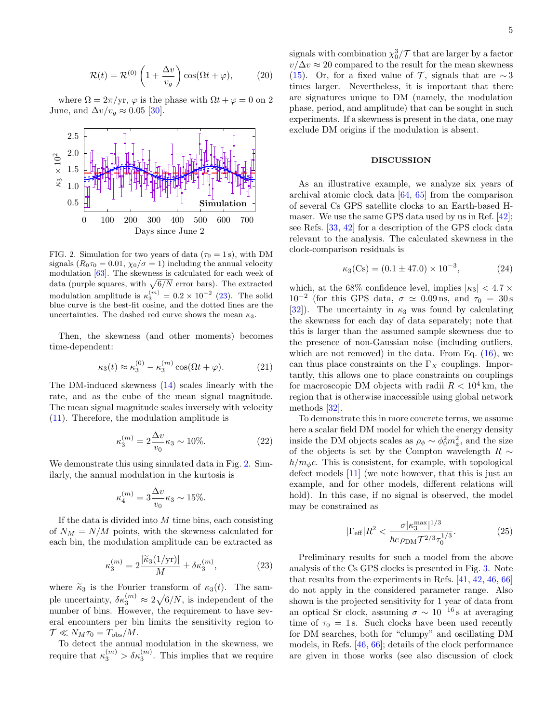$$
\mathcal{R}(t) = \mathcal{R}^{(0)}\left(1 + \frac{\Delta v}{v_g}\right)\cos(\Omega t + \varphi),\tag{20}
$$

where  $\Omega = 2\pi/\text{yr}$ ,  $\varphi$  is the phase with  $\Omega t + \varphi = 0$  on 2 June, and  $\Delta v/v_g \approx 0.05$  [\[30\]](#page-6-9).



<span id="page-4-1"></span>FIG. 2. Simulation for two years of data ( $\tau_0 = 1$  s), with DM signals  $(R_0\tau_0 = 0.01, \chi_0/\sigma = 1)$  including the annual velocity modulation [\[63\]](#page-7-5). The skewness is calculated for each week of data (purple squares, with  $\sqrt{6/N}$  error bars). The extracted modulation amplitude is  $\kappa_3^{(m)} = 0.2 \times 10^{-2}$  [\(23\)](#page-4-0). The solid blue curve is the best-fit cosine, and the dotted lines are the uncertainties. The dashed red curve shows the mean  $\kappa_3$ .

Then, the skewness (and other moments) becomes time-dependent:

$$
\kappa_3(t) \approx \kappa_3^{(0)} - \kappa_3^{(m)} \cos(\Omega t + \varphi). \tag{21}
$$

The DM-induced skewness [\(14\)](#page-3-2) scales linearly with the rate, and as the cube of the mean signal magnitude. The mean signal magnitude scales inversely with velocity [\(11\)](#page-3-0). Therefore, the modulation amplitude is

$$
\kappa_3^{(m)} = 2 \frac{\Delta v}{v_0} \kappa_3 \sim 10\%.
$$
 (22)

We demonstrate this using simulated data in Fig. [2.](#page-4-1) Similarly, the annual modulation in the kurtosis is

$$
\kappa_4^{(m)} = 3 \frac{\Delta v}{v_0} \kappa_3 \sim 15\%.
$$

If the data is divided into  $M$  time bins, each consisting of  $N_M = N/M$  points, with the skewness calculated for each bin, the modulation amplitude can be extracted as

<span id="page-4-0"></span>
$$
\kappa_3^{(m)} = 2 \frac{|\widetilde{\kappa}_3(1/\text{yr})|}{M} \pm \delta \kappa_3^{(m)},\tag{23}
$$

where  $\tilde{\kappa}_3$  is the Fourier transform of  $\kappa_3(t)$ . The sample uncertainty,  $\delta \kappa_3^{(m)} \approx 2\sqrt{6/N}$ , is independent of the number of bins. However, the requirement to have several encounters per bin limits the sensitivity region to  $\mathcal{T} \ll N_M \tau_0 = T_{\text{obs}}/M$ .

To detect the annual modulation in the skewness, we require that  $\kappa_3^{(m)} > \delta \kappa_3^{(m)}$ . This implies that we require

signals with combination  $\chi_0^3/\mathcal{T}$  that are larger by a factor  $v/\Delta v \approx 20$  compared to the result for the mean skewness [\(15\)](#page-3-3). Or, for a fixed value of  $\mathcal{T}$ , signals that are  $\sim$ 3 times larger. Nevertheless, it is important that there are signatures unique to DM (namely, the modulation phase, period, and amplitude) that can be sought in such experiments. If a skewness is present in the data, one may exclude DM origins if the modulation is absent.

## DISCUSSION

As an illustrative example, we analyze six years of archival atomic clock data [\[64,](#page-7-6) [65\]](#page-7-7) from the comparison of several Cs GPS satellite clocks to an Earth-based Hmaser. We use the same GPS data used by us in Ref. [\[42\]](#page-6-25); see Refs. [\[33,](#page-6-26) [42\]](#page-6-25) for a description of the GPS clock data relevant to the analysis. The calculated skewness in the clock-comparison residuals is

$$
\kappa_3(\text{Cs}) = (0.1 \pm 47.0) \times 10^{-3},\tag{24}
$$

which, at the 68% confidence level, implies  $|\kappa_3|$  < 4.7  $\times$  $10^{-2}$  (for this GPS data,  $\sigma \simeq 0.09$  ns, and  $\tau_0 = 30$  s [\[32\]](#page-6-12)). The uncertainty in  $\kappa_3$  was found by calculating the skewness for each day of data separately; note that this is larger than the assumed sample skewness due to the presence of non-Gaussian noise (including outliers, which are not removed) in the data. From Eq.  $(16)$ , we can thus place constraints on the  $\Gamma_X$  couplings. Importantly, this allows one to place constraints on couplings for macroscopic DM objects with radii  $R < 10^4$  km, the region that is otherwise inaccessible using global network methods [\[32\]](#page-6-12).

To demonstrate this in more concrete terms, we assume here a scalar field DM model for which the energy density inside the DM objects scales as  $\rho_{\phi} \sim \phi_0^2 m_{\phi}^2$ , and the size of the objects is set by the Compton wavelength  $R$   $\sim$  $\hbar/m_{\phi}c$ . This is consistent, for example, with topological defect models [\[11\]](#page-5-9) (we note however, that this is just an example, and for other models, different relations will hold). In this case, if no signal is observed, the model may be constrained as

$$
|\Gamma_{\text{eff}}|R^2 < \frac{\sigma |\kappa_3^{\text{max}}|^{1/3}}{\hbar c \,\rho_{\text{DM}} \mathcal{T}^{2/3} \tau_0^{1/3}}.\tag{25}
$$

Preliminary results for such a model from the above analysis of the Cs GPS clocks is presented in Fig. [3.](#page-5-14) Note that results from the experiments in Refs. [\[41,](#page-6-27) [42,](#page-6-25) [46,](#page-6-16) [66\]](#page-7-8) do not apply in the considered parameter range. Also shown is the projected sensitivity for 1 year of data from an optical Sr clock, assuming  $\sigma \sim 10^{-16}$  s at averaging time of  $\tau_0 = 1$  s. Such clocks have been used recently for DM searches, both for "clumpy" and oscillating DM models, in Refs. [\[46,](#page-6-16) [66\]](#page-7-8); details of the clock performance are given in those works (see also discussion of clock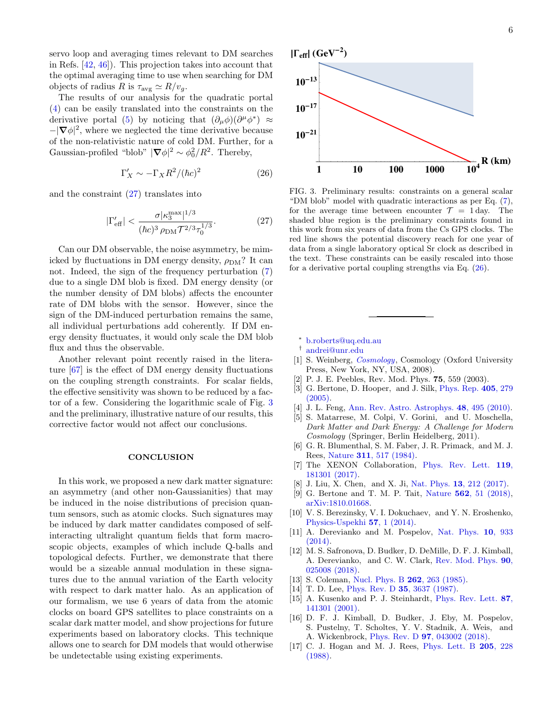servo loop and averaging times relevant to DM searches in Refs. [\[42,](#page-6-25) [46\]](#page-6-16)). This projection takes into account that the optimal averaging time to use when searching for DM objects of radius R is  $\tau_{\text{avg}} \simeq R/v_g$ .

The results of our analysis for the quadratic portal [\(4\)](#page-2-1) can be easily translated into the constraints on the derivative portal [\(5\)](#page-2-2) by noticing that  $(\partial_{\mu}\phi)(\partial^{\mu}\phi^*) \approx$  $-|\nabla \phi|^2$ , where we neglected the time derivative because of the non-relativistic nature of cold DM. Further, for a Gaussian-profiled "blob"  $|\nabla \phi|^2 \sim \phi_0^2/R^2$ . Thereby,

<span id="page-5-16"></span>
$$
\Gamma_X' \sim -\Gamma_X R^2 / (\hbar c)^2 \tag{26}
$$

and the constraint [\(27\)](#page-5-15) translates into

<span id="page-5-15"></span>
$$
|\Gamma_{\text{eff}}'| < \frac{\sigma |\kappa_3^{\text{max}}|^{1/3}}{(\hbar c)^3 \,\rho_{\text{DM}} \mathcal{T}^{2/3} \tau_0^{1/3}}.\tag{27}
$$

Can our DM observable, the noise asymmetry, be mimicked by fluctuations in DM energy density,  $\rho_{DM}$ ? It can not. Indeed, the sign of the frequency perturbation [\(7\)](#page-2-3) due to a single DM blob is fixed. DM energy density (or the number density of DM blobs) affects the encounter rate of DM blobs with the sensor. However, since the sign of the DM-induced perturbation remains the same, all individual perturbations add coherently. If DM energy density fluctuates, it would only scale the DM blob flux and thus the observable.

Another relevant point recently raised in the literature [\[67\]](#page-7-9) is the effect of DM energy density fluctuations on the coupling strength constraints. For scalar fields, the effective sensitivity was shown to be reduced by a factor of a few. Considering the logarithmic scale of Fig. [3](#page-5-14) and the preliminary, illustrative nature of our results, this corrective factor would not affect our conclusions.

#### **CONCLUSION**

In this work, we proposed a new dark matter signature: an asymmetry (and other non-Gaussianities) that may be induced in the noise distributions of precision quantum sensors, such as atomic clocks. Such signatures may be induced by dark matter candidates composed of selfinteracting ultralight quantum fields that form macroscopic objects, examples of which include Q-balls and topological defects. Further, we demonstrate that there would be a sizeable annual modulation in these signatures due to the annual variation of the Earth velocity with respect to dark matter halo. As an application of our formalism, we use 6 years of data from the atomic clocks on board GPS satellites to place constraints on a scalar dark matter model, and show projections for future experiments based on laboratory clocks. This technique allows one to search for DM models that would otherwise be undetectable using existing experiments.



<span id="page-5-14"></span>FIG. 3. Preliminary results: constraints on a general scalar "DM blob" model with quadratic interactions as per Eq. [\(7\)](#page-2-3), for the average time between encounter  $\mathcal{T} = 1$  day. The shaded blue region is the preliminary constraints found in this work from six years of data from the Cs GPS clocks. The red line shows the potential discovery reach for one year of data from a single laboratory optical Sr clock as described in the text. These constraints can be easily rescaled into those for a derivative portal coupling strengths via Eq. [\(26\)](#page-5-16).

- <span id="page-5-0"></span><sup>∗</sup> [b.roberts@uq.edu.au](mailto:b.roberts@uq.edu.au)
- <span id="page-5-1"></span>† [andrei@unr.edu](mailto:andrei@unr.edu)
- <span id="page-5-2"></span>[1] S. Weinberg, *[Cosmology](https://books.google.com/books?id=nqQZdg020fsC)*, Cosmology (Oxford University Press, New York, NY, USA, 2008).
- <span id="page-5-3"></span>[2] P. J. E. Peebles, Rev. Mod. Phys. 75, 559 (2003).
- [3] G. Bertone, D. Hooper, and J. Silk, [Phys. Rep.](http://dx.doi.org/10.1016/j.physrep.2004.08.031) 405, 279 [\(2005\).](http://dx.doi.org/10.1016/j.physrep.2004.08.031)
- [4] J. L. Feng, [Ann. Rev. Astro. Astrophys.](http://dx.doi.org/10.1146/annurev-astro-082708-101659) **48**, 495 (2010).
- <span id="page-5-4"></span>[5] S. Matarrese, M. Colpi, V. Gorini, and U. Moschella, Dark Matter and Dark Energy: A Challenge for Modern Cosmology (Springer, Berlin Heidelberg, 2011).
- <span id="page-5-5"></span>[6] G. R. Blumenthal, S. M. Faber, J. R. Primack, and M. J. Rees, Nature 311[, 517 \(1984\).](http://dx.doi.org/10.1038/311517a0)
- <span id="page-5-6"></span>[7] The XENON Collaboration, [Phys. Rev. Lett.](http://dx.doi.org/10.1103/PhysRevLett.119.181301) 119, [181301 \(2017\).](http://dx.doi.org/10.1103/PhysRevLett.119.181301)
- [8] J. Liu, X. Chen, and X. Ji, Nat. Phys. 13[, 212 \(2017\).](http://dx.doi.org/ 10.1038/nphys4039)
- <span id="page-5-7"></span>[9] G. Bertone and T. M. P. Tait, Nature 562[, 51 \(2018\),](http://dx.doi.org/10.1038/s41586-018-0542-z) [arXiv:1810.01668.](http://arxiv.org/abs/1810.01668)
- <span id="page-5-8"></span>[10] V. S. Berezinsky, V. I. Dokuchaev, and Y. N. Eroshenko, [Physics-Uspekhi](http://dx.doi.org/10.3367/UFNe.0184.201401a.0003) 57, 1 (2014).
- <span id="page-5-9"></span>[11] A. Derevianko and M. Pospelov, [Nat. Phys.](http://dx.doi.org/10.1038/nphys3137) **10**, 933 [\(2014\).](http://dx.doi.org/10.1038/nphys3137)
- <span id="page-5-10"></span>[12] M. S. Safronova, D. Budker, D. DeMille, D. F. J. Kimball, A. Derevianko, and C. W. Clark, [Rev. Mod. Phys.](http://dx.doi.org/ 10.1103/RevModPhys.90.025008) 90, [025008 \(2018\).](http://dx.doi.org/ 10.1103/RevModPhys.90.025008)
- <span id="page-5-11"></span>[13] S. Coleman, [Nucl. Phys. B](http://dx.doi.org/10.1016/0550-3213(85)90286-X) **262**, 263 (1985).
- [14] T. D. Lee, Phys. Rev. D **35**[, 3637 \(1987\).](http://dx.doi.org/10.1103/PhysRevD.35.3637)
- [15] A. Kusenko and P. J. Steinhardt, [Phys. Rev. Lett.](http://dx.doi.org/10.1103/PhysRevLett.87.141301) 87, [141301 \(2001\).](http://dx.doi.org/10.1103/PhysRevLett.87.141301)
- <span id="page-5-12"></span>[16] D. F. J. Kimball, D. Budker, J. Eby, M. Pospelov, S. Pustelny, T. Scholtes, Y. V. Stadnik, A. Weis, and A. Wickenbrock, Phys. Rev. D 97[, 043002 \(2018\).](http://dx.doi.org/ 10.1103/PhysRevD.97.043002)
- <span id="page-5-13"></span>[17] C. J. Hogan and M. J. Rees, [Phys. Lett. B](http://dx.doi.org/10.1016/0370-2693(88)91655-3) 205, 228 [\(1988\).](http://dx.doi.org/10.1016/0370-2693(88)91655-3)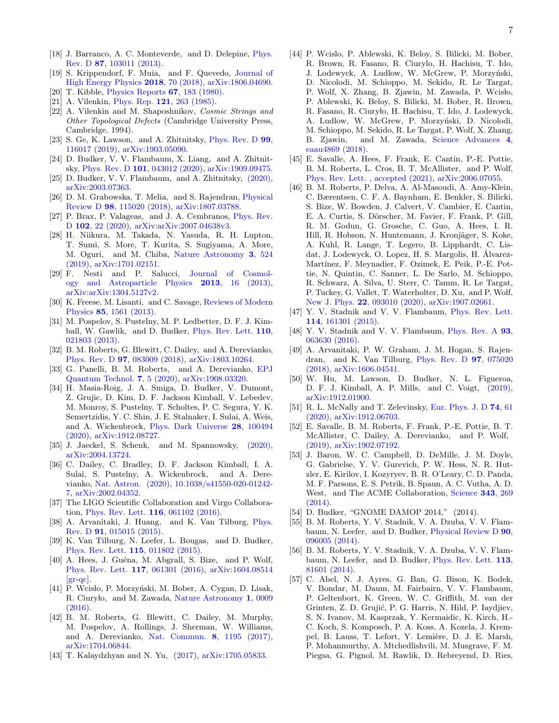- [18] J. Barranco, A. C. Monteverde, and D. Delepine, [Phys.](http://dx.doi.org/10.1103/PhysRevD.87.103011) Rev. D 87[, 103011 \(2013\).](http://dx.doi.org/10.1103/PhysRevD.87.103011)
- <span id="page-6-0"></span>[19] S. Krippendorf, F. Muia, and F. Quevedo, [Journal of](http://dx.doi.org/10.1007/JHEP08(2018)070) [High Energy Physics](http://dx.doi.org/10.1007/JHEP08(2018)070) 2018, 70 (2018), [arXiv:1806.04690.](http://arxiv.org/abs/1806.04690)
- <span id="page-6-1"></span>[20] T. Kibble, [Physics Reports](http://dx.doi.org/10.1016/0370-1573(80)90091-5) 67, 183 (1980).
- [21] A. Vilenkin, Phys. Rep. **121**[, 263 \(1985\).](http://dx.doi.org/10.1016/0370-1573(85)90033-X)
- <span id="page-6-2"></span>[22] A. Vilenkin and M. Shaposhnikov, Cosmic Strings and Other Topological Defects (Cambridge University Press, Cambridge, 1994).
- <span id="page-6-3"></span>[23] S. Ge, K. Lawson, and A. Zhitnitsky, [Phys. Rev. D](http://dx.doi.org/10.1103/PhysRevD.99.116017) 99, [116017 \(2019\),](http://dx.doi.org/10.1103/PhysRevD.99.116017) [arXiv:1903.05090.](http://arxiv.org/abs/1903.05090)
- <span id="page-6-11"></span>[24] D. Budker, V. V. Flambaum, X. Liang, and A. Zhitnitsky, Phys. Rev. D 101[, 043012 \(2020\),](http://dx.doi.org/10.1103/PhysRevD.101.043012) [arXiv:1909.09475.](http://arxiv.org/abs/1909.09475)
- <span id="page-6-4"></span>[25] D. Budker, V. V. Flambaum, and A. Zhitnitsky,  $(2020)$ , [arXiv:2003.07363.](http://arxiv.org/abs/2003.07363)
- <span id="page-6-5"></span>[26] D. M. Grabowska, T. Melia, and S. Rajendran, [Physical](http://dx.doi.org/10.1103/PhysRevD.98.115020) Review D 98[, 115020 \(2018\),](http://dx.doi.org/10.1103/PhysRevD.98.115020) [arXiv:1807.03788.](http://arxiv.org/abs/1807.03788)
- <span id="page-6-6"></span>[27] P. Brax, P. Valageas, and J. A. Cembranos, [Phys. Rev.](http://dx.doi.org/10.1103/PhysRevD.102.083012) D 102[, 22 \(2020\),](http://dx.doi.org/10.1103/PhysRevD.102.083012) [arXiv:arXiv:2007.04638v3.](http://arxiv.org/abs/arXiv:2007.04638v3)
- <span id="page-6-7"></span>[28] H. Niikura, M. Takada, N. Yasuda, R. H. Lupton, T. Sumi, S. More, T. Kurita, S. Sugiyama, A. More, M. Oguri, and M. Chiba, [Nature Astronomy](http://dx.doi.org/ 10.1038/s41550-019-0723-1) 3, 524 [\(2019\),](http://dx.doi.org/ 10.1038/s41550-019-0723-1) [arXiv:1701.02151.](http://arxiv.org/abs/1701.02151)
- <span id="page-6-8"></span>[29] F. Nesti and P. Salucci, [Journal of Cosmol](http://arxiv.org/abs/1304.5127 http://stacks.iop.org/1475-7516/2013/i=07/a=016)[ogy and Astroparticle Physics](http://arxiv.org/abs/1304.5127 http://stacks.iop.org/1475-7516/2013/i=07/a=016) 2013, 16 (2013), [arXiv:arXiv:1304.5127v2.](http://arxiv.org/abs/arXiv:1304.5127v2)
- <span id="page-6-9"></span>[30] K. Freese, M. Lisanti, and C. Savage, [Reviews of Modern](http://dx.doi.org/10.1103/RevModPhys.85.1561) Physics 85[, 1561 \(2013\).](http://dx.doi.org/10.1103/RevModPhys.85.1561)
- <span id="page-6-10"></span>[31] M. Pospelov, S. Pustelny, M. P. Ledbetter, D. F. J. Kimball, W. Gawlik, and D. Budker, [Phys. Rev. Lett.](http://dx.doi.org/ 10.1103/PhysRevLett.110.021803) 110, [021803 \(2013\).](http://dx.doi.org/ 10.1103/PhysRevLett.110.021803)
- <span id="page-6-12"></span>[32] B. M. Roberts, G. Blewitt, C. Dailey, and A. Derevianko, Phys. Rev. D 97[, 083009 \(2018\),](http://dx.doi.org/ 10.1103/PhysRevD.97.083009) [arXiv:1803.10264.](http://arxiv.org/abs/1803.10264)
- <span id="page-6-26"></span>[33] G. Panelli, B. M. Roberts, and A. Derevianko, [EPJ](http://dx.doi.org/10.1140/epjqt/s40507-020-00081-9) [Quantum Technol.](http://dx.doi.org/10.1140/epjqt/s40507-020-00081-9) 7, 5 (2020), [arXiv:1908.03320.](http://arxiv.org/abs/1908.03320)
- [34] H. Masia-Roig, J. A. Smiga, D. Budker, V. Dumont, Z. Grujic, D. Kim, D. F. Jackson Kimball, V. Lebedev, M. Monroy, S. Pustelny, T. Scholtes, P. C. Segura, Y. K. Semertzidis, Y. C. Shin, J. E. Stalnaker, I. Sulai, A. Weis, and A. Wickenbrock, [Phys. Dark Universe](http://dx.doi.org/ 10.1016/j.dark.2020.100494) 28, 100494 [\(2020\),](http://dx.doi.org/ 10.1016/j.dark.2020.100494) [arXiv:1912.08727.](http://arxiv.org/abs/1912.08727)
- [35] J. Jaeckel, S. Schenk, and M. Spannowsky,  $(2020)$ , [arXiv:2004.13724.](http://arxiv.org/abs/2004.13724)
- <span id="page-6-13"></span>[36] C. Dailey, C. Bradley, D. F. Jackson Kimball, I. A. Sulai, S. Pustelny, A. Wickenbrock, and A. Derevianko, [Nat. Astron. \(2020\), 10.1038/s41550-020-01242-](http://dx.doi.org/ 10.1038/s41550-020-01242-7) [7,](http://dx.doi.org/ 10.1038/s41550-020-01242-7) [arXiv:2002.04352.](http://arxiv.org/abs/2002.04352)
- <span id="page-6-14"></span>[37] The LIGO Scientific Collaboration and Virgo Collaboration, [Phys. Rev. Lett.](http://dx.doi.org/ 10.1103/PhysRevLett.116.061102) 116, 061102 (2016).
- <span id="page-6-15"></span>[38] A. Arvanitaki, J. Huang, and K. Van Tilburg, [Phys.](http://dx.doi.org/10.1103/PhysRevD.91.015015) Rev. D 91[, 015015 \(2015\).](http://dx.doi.org/10.1103/PhysRevD.91.015015)
- [39] K. Van Tilburg, N. Leefer, L. Bougas, and D. Budker, [Phys. Rev. Lett.](http://dx.doi.org/ 10.1103/PhysRevLett.115.011802) 115, 011802 (2015).
- [40] A. Hees, J. Guéna, M. Abgrall, S. Bize, and P. Wolf, [Phys. Rev. Lett.](http://dx.doi.org/ 10.1103/PhysRevLett.117.061301) 117, 061301 (2016), [arXiv:1604.08514](http://arxiv.org/abs/1604.08514)  $\lvert$ gr-qc $\lvert$ .
- <span id="page-6-27"></span>[41] P. Wcisło, P. Morzyński, M. Bober, A. Cygan, D. Lisak, R. Ciurylo, and M. Zawada, [Nature Astronomy](http://dx.doi.org/ 10.1038/s41550-016-0009) 1, 0009 [\(2016\).](http://dx.doi.org/ 10.1038/s41550-016-0009)
- <span id="page-6-25"></span>[42] B. M. Roberts, G. Blewitt, C. Dailey, M. Murphy, M. Pospelov, A. Rollings, J. Sherman, W. Williams, and A. Derevianko, [Nat. Commun.](http://dx.doi.org/ 10.1038/s41467-017-01440-4) 8, 1195 (2017), [arXiv:1704.06844.](http://arxiv.org/abs/1704.06844)
- [43] T. Kalaydzhyan and N. Yu, [\(2017\),](http://arxiv.org/abs/1705.05833) [arXiv:1705.05833.](http://arxiv.org/abs/1705.05833)
- [44] P. Wcislo, P. Ablewski, K. Beloy, S. Bilicki, M. Bober, R. Brown, R. Fasano, R. Ciurylo, H. Hachisu, T. Ido, J. Lodewyck, A. Ludlow, W. McGrew, P. Morzyński, D. Nicolodi, M. Schioppo, M. Sekido, R. Le Targat, P. Wolf, X. Zhang, B. Zjawin, M. Zawada, P. Wcisło, P. Ablewski, K. Beloy, S. Bilicki, M. Bober, R. Brown, R. Fasano, R. Ciuryło, H. Hachisu, T. Ido, J. Lodewyck, A. Ludlow, W. McGrew, P. Morzyński, D. Nicolodi, M. Schioppo, M. Sekido, R. Le Targat, P. Wolf, X. Zhang, B. Zjawin, and M. Zawada, [Science Advances](http://dx.doi.org/10.1126/sciadv.aau4869) 4, [eaau4869 \(2018\).](http://dx.doi.org/10.1126/sciadv.aau4869)
- <span id="page-6-21"></span>[45] E. Savalle, A. Hees, F. Frank, E. Cantin, P.-E. Pottie, B. M. Roberts, L. Cros, B. T. McAllister, and P. Wolf, [Phys. Rev. Lett. , accepted \(2021\),](http://arxiv.org/abs/2006.07055 https://journals.aps.org/prl/accepted/27071Ye3Gae1b37452210073568beacb2f1667df8) [arXiv:2006.07055.](http://arxiv.org/abs/2006.07055)
- <span id="page-6-16"></span>[46] B. M. Roberts, P. Delva, A. Al-Masoudi, A. Amy-Klein, C. Bærentsen, C. F. A. Baynham, E. Benkler, S. Bilicki, S. Bize, W. Bowden, J. Calvert, V. Cambier, E. Cantin, E. A. Curtis, S. Dörscher, M. Favier, F. Frank, P. Gill, R. M. Godun, G. Grosche, C. Guo, A. Hees, I. R. Hill, R. Hobson, N. Huntemann, J. Kronjäger, S. Koke, A. Kuhl, R. Lange, T. Legero, B. Lipphardt, C. Lisdat, J. Lodewyck, O. Lopez, H. S. Margolis, H. Alvarez- ´ Martínez, F. Meynadier, F. Ozimek, E. Peik, P.-E. Pottie, N. Quintin, C. Sanner, L. De Sarlo, M. Schioppo, R. Schwarz, A. Silva, U. Sterr, C. Tamm, R. Le Targat, P. Tuckey, G. Vallet, T. Waterholter, D. Xu, and P. Wolf, New J. Phys. 22[, 093010 \(2020\),](http://dx.doi.org/ 10.1088/1367-2630/abaace) [arXiv:1907.02661.](http://arxiv.org/abs/1907.02661)
- <span id="page-6-17"></span>[47] Y. V. Stadnik and V. V. Flambaum, [Phys. Rev. Lett.](http://dx.doi.org/10.1103/PhysRevLett.114.161301) 114[, 161301 \(2015\).](http://dx.doi.org/10.1103/PhysRevLett.114.161301)
- [48] Y. V. Stadnik and V. V. Flambaum, [Phys. Rev. A](http://dx.doi.org/10.1103/PhysRevA.93.063630) 93, [063630 \(2016\).](http://dx.doi.org/10.1103/PhysRevA.93.063630)
- <span id="page-6-18"></span>[49] A. Arvanitaki, P. W. Graham, J. M. Hogan, S. Rajendran, and K. Van Tilburg, [Phys. Rev. D](http://dx.doi.org/10.1103/PhysRevD.97.075020) 97, 075020 [\(2018\),](http://dx.doi.org/10.1103/PhysRevD.97.075020) [arXiv:1606.04541.](http://arxiv.org/abs/1606.04541)
- <span id="page-6-19"></span>[50] W. Hu, M. Lawson, D. Budker, N. L. Figueroa, D. F. J. Kimball, A. P. Mills, and C. Voigt, [\(2019\),](http://arxiv.org/abs/1912.01900) [arXiv:1912.01900.](http://arxiv.org/abs/1912.01900)
- <span id="page-6-20"></span>[51] R. L. McNally and T. Zelevinsky, [Eur. Phys. J. D](http://dx.doi.org/10.1140/epjd/e2020-100632-0) 74, 61 [\(2020\),](http://dx.doi.org/10.1140/epjd/e2020-100632-0) [arXiv:1912.06703.](http://arxiv.org/abs/1912.06703)
- <span id="page-6-22"></span>[52] E. Savalle, B. M. Roberts, F. Frank, P.-E. Pottie, B. T. McAllister, C. Dailey, A. Derevianko, and P. Wolf, [\(2019\),](https://arxiv.org/abs/1902.07192) [arXiv:1902.07192.](http://arxiv.org/abs/1902.07192)
- <span id="page-6-23"></span>[53] J. Baron, W. C. Campbell, D. DeMille, J. M. Doyle, G. Gabrielse, Y. V. Gurevich, P. W. Hess, N. R. Hutzler, E. Kirilov, I. Kozyryev, B. R. O'Leary, C. D. Panda, M. F. Parsons, E. S. Petrik, B. Spaun, A. C. Vutha, A. D. West, and The ACME Collaboration, [Science](http://dx.doi.org/ 10.1126/science.1248213) 343, 269 [\(2014\).](http://dx.doi.org/ 10.1126/science.1248213)
- [54] D. Budker, "GNOME DAMOP 2014," (2014).
- [55] B. M. Roberts, Y. V. Stadnik, V. A. Dzuba, V. V. Flambaum, N. Leefer, and D. Budker, [Physical Review D](http://dx.doi.org/ 10.1103/PhysRevD.90.096005) 90, [096005 \(2014\).](http://dx.doi.org/ 10.1103/PhysRevD.90.096005)
- [56] B. M. Roberts, Y. V. Stadnik, V. A. Dzuba, V. V. Flambaum, N. Leefer, and D. Budker, [Phys. Rev. Lett.](http://dx.doi.org/ 10.1103/PhysRevLett.113.081601) 113, [81601 \(2014\).](http://dx.doi.org/ 10.1103/PhysRevLett.113.081601)
- <span id="page-6-24"></span>[57] C. Abel, N. J. Ayres, G. Ban, G. Bison, K. Bodek, V. Bondar, M. Daum, M. Fairbairn, V. V. Flambaum, P. Geltenbort, K. Green, W. C. Griffith, M. van der Grinten, Z. D. Grujić, P. G. Harris, N. Hild, P. Iaydjiev, S. N. Ivanov, M. Kasprzak, Y. Kermaidic, K. Kirch, H.- C. Koch, S. Komposch, P. A. Koss, A. Kozela, J. Krempel, B. Lauss, T. Lefort, Y. Lemière, D. J. E. Marsh, P. Mohanmurthy, A. Mtchedlishvili, M. Musgrave, F. M. Piegsa, G. Pignol, M. Rawlik, D. Rebreyend, D. Ries,